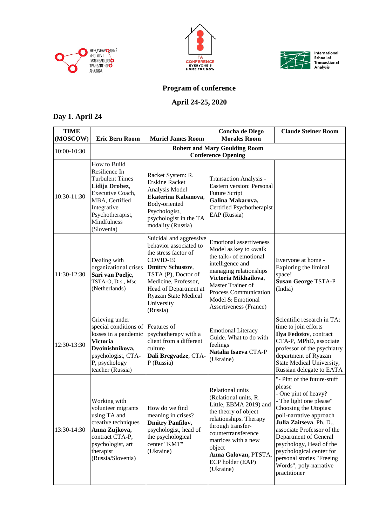





## **Program of conference**

## **April 24-25, 2020**

## **Day 1. April 24**

| <b>TIME</b><br>(MOSCOW) | <b>Eric Bern Room</b>                                                                                                                                                           | <b>Muriel James Room</b>                                                                                                                                                                                                                          | <b>Concha de Diego</b><br><b>Morales Room</b>                                                                                                                                                                                                               | <b>Claude Steiner Room</b>                                                                                                                                                                                                                                                                                                                                   |  |
|-------------------------|---------------------------------------------------------------------------------------------------------------------------------------------------------------------------------|---------------------------------------------------------------------------------------------------------------------------------------------------------------------------------------------------------------------------------------------------|-------------------------------------------------------------------------------------------------------------------------------------------------------------------------------------------------------------------------------------------------------------|--------------------------------------------------------------------------------------------------------------------------------------------------------------------------------------------------------------------------------------------------------------------------------------------------------------------------------------------------------------|--|
| 10:00-10:30             | <b>Robert and Mary Goulding Room</b><br><b>Conference Opening</b>                                                                                                               |                                                                                                                                                                                                                                                   |                                                                                                                                                                                                                                                             |                                                                                                                                                                                                                                                                                                                                                              |  |
| 10:30-11:30             | How to Build<br>Resilience In<br><b>Turbulent Times</b><br>Lidija Drobez,<br>Executive Coach,<br>MBA, Certified<br>Integrative<br>Psychotherapist,<br>Mindfulness<br>(Slovenia) | Racket System: R.<br><b>Erskine Racket</b><br>Analysis Model<br>Ekaterina Kabanova,<br>Body-oriented<br>Psychologist,<br>psychologist in the TA<br>modality (Russia)                                                                              | <b>Transaction Analysis -</b><br>Eastern version: Personal<br>Future Script<br>Galina Makarova,<br>Certified Psychotherapist<br>EAP (Russia)                                                                                                                |                                                                                                                                                                                                                                                                                                                                                              |  |
| 11:30-12:30             | Dealing with<br>organizational crises<br>Sari van Poelje,<br>TSTA-O, Drs., Msc<br>(Netherlands)                                                                                 | Suicidal and aggressive<br>behavior associated to<br>the stress factor of<br>COVID-19<br><b>Dmitry Schustov,</b><br>TSTA (P), Doctor of<br>Medicine, Professor,<br>Head of Department at<br><b>Ryazan State Medical</b><br>University<br>(Russia) | <b>Emotional assertiveness</b><br>Model as key to «walk<br>the talk» of emotional<br>intelligence and<br>managing relationships<br>Victoria Mikhailova,<br>Master Trainer of<br>Process Communication<br>Model & Emotional<br>Assertiveness (France)        | Everyone at home -<br>Exploring the liminal<br>space!<br><b>Susan George TSTA-P</b><br>(India)                                                                                                                                                                                                                                                               |  |
| 12:30-13:30             | Grieving under<br>special conditions of<br>losses in a pandemic<br><b>Victoria</b><br>Dvoinishnikova,<br>psychologist, CTA-<br>P, psychology<br>teacher (Russia)                | Features of<br>psychotherapy with a<br>client from a different<br>culture<br>Dali Bregvadze, CTA-<br>P (Russia)                                                                                                                                   | <b>Emotional Literacy</b><br>Guide. What to do with<br>feelings<br>Natalia Isaeva CTA-P<br>(Ukraine)                                                                                                                                                        | Scientific research in TA:<br>time to join efforts<br>Ilya Fedotov, contract<br>CTA-P, MPhD, associate<br>professor of the psychiatry<br>department of Ryazan<br>State Medical University,<br>Russian delegate to EATA                                                                                                                                       |  |
| 13:30-14:30             | Working with<br>volunteer migrants<br>using TA and<br>creative techniques<br>Anna Zujkova,<br>contract CTA-P,<br>psychologist, art<br>therapist<br>(Russia/Slovenia)            | How do we find<br>meaning in crises?<br><b>Dmitry Panfilov,</b><br>psychologist, head of<br>the psychological<br>center "KMT"<br>(Ukraine)                                                                                                        | Relational units<br>(Relational units, R.<br>Little, EBMA 2019) and<br>the theory of object<br>relationships. Therapy<br>through transfer-<br>countertransference<br>matrices with a new<br>object<br>Anna Golovan, PTSTA,<br>ECP holder (EAP)<br>(Ukraine) | "- Pint of the future-stuff<br>please<br>- One pint of heavy?<br>- The light one please"<br>Choosing the Utopias:<br>poli-narrative approach<br>Julia Zaitseva, Ph. D.,<br>associate Professor of the<br>Department of General<br>psychology, Head of the<br>psychological center for<br>personal stories "Freeing<br>Words", poly-narrative<br>practitioner |  |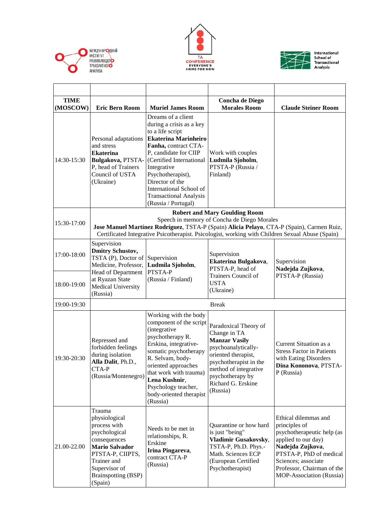





| <b>TIME</b><br>(MOSCOW) | <b>Eric Bern Room</b>                                                                                                                                                                                                                        | <b>Muriel James Room</b>                                                                                                                                                                                                                                                                                                 | <b>Concha de Diego</b><br><b>Morales Room</b>                                                                                                                                                                        | <b>Claude Steiner Room</b>                                                                                                                                                                                                        |  |
|-------------------------|----------------------------------------------------------------------------------------------------------------------------------------------------------------------------------------------------------------------------------------------|--------------------------------------------------------------------------------------------------------------------------------------------------------------------------------------------------------------------------------------------------------------------------------------------------------------------------|----------------------------------------------------------------------------------------------------------------------------------------------------------------------------------------------------------------------|-----------------------------------------------------------------------------------------------------------------------------------------------------------------------------------------------------------------------------------|--|
| 14:30-15:30             | Personal adaptations<br>and stress<br><b>Ekaterina</b><br>Bulgakova, PTSTA-<br>P, head of Trainers<br>Council of USTA<br>(Ukraine)                                                                                                           | Dreams of a client<br>during a crisis as a key<br>to a life script<br><b>Ekaterina Marinheiro</b><br>Fanha, contract CTA-<br>P, candidate for CIIP<br>(Certified International<br>Integrative<br>Psychotherapist),<br>Director of the<br>International School of<br><b>Transactional Analysis</b><br>(Russia / Portugal) | Work with couples<br>Ludmila Sjoholm,<br>PTSTA-P (Russia /<br>Finland)                                                                                                                                               |                                                                                                                                                                                                                                   |  |
|                         |                                                                                                                                                                                                                                              |                                                                                                                                                                                                                                                                                                                          | <b>Robert and Mary Goulding Room</b>                                                                                                                                                                                 |                                                                                                                                                                                                                                   |  |
| 15:30-17:00             | Speech in memory of Concha de Diego Morales<br>Jose Manuel Martínez Rodríguez, TSTA-P (Spain) Alicia Pelayo, CTA-P (Spain), Carmen Ruiz,<br>Certificated Integrative Psicotherapist. Psicologist, working with Children Sexual Abuse (Spain) |                                                                                                                                                                                                                                                                                                                          |                                                                                                                                                                                                                      |                                                                                                                                                                                                                                   |  |
| 17:00-18:00             | Supervision<br><b>Dmitry Schustov,</b><br>TSTA $(P)$ , Doctor of Supervision<br>Medicine, Professor,                                                                                                                                         | Ludmila Sjoholm,<br>PTSTA-P                                                                                                                                                                                                                                                                                              | Supervision<br>Ekaterina Bulgakova,<br>PTSTA-P, head of                                                                                                                                                              | Supervision<br>Nadejda Zujkova,                                                                                                                                                                                                   |  |
| 18:00-19:00             | Head of Department<br>at Ryazan State<br>Medical University<br>(Russia)                                                                                                                                                                      | (Russia / Finland)                                                                                                                                                                                                                                                                                                       | Trainers Council of<br><b>USTA</b><br>(Ukraine)                                                                                                                                                                      | PTSTA-P (Russia)                                                                                                                                                                                                                  |  |
| 19:00-19:30             | <b>Break</b>                                                                                                                                                                                                                                 |                                                                                                                                                                                                                                                                                                                          |                                                                                                                                                                                                                      |                                                                                                                                                                                                                                   |  |
| 19:30-20:30             | Repressed and<br>forbidden feelings<br>during isolation<br>Alla Dalit, Ph.D.,<br>CTA-P<br>(Russia/Montenegro)                                                                                                                                | Working with the body<br>component of the script<br>(integrative<br>psychotherapy R.<br>Erskina, integrative-<br>somatic psychotherapy<br>R. Selvam, body-<br>oriented approaches<br>that work with trauma)<br>Lena Kushnir,<br>Psychology teacher,<br>body-oriented therapist<br>(Russia)                               | Paradoxical Theory of<br>Change in TA<br><b>Manzar Vasily</b><br>psychoanalytically-<br>oriented therapist,<br>psychotherapist in the<br>method of integrative<br>psychotherapy by<br>Richard G. Erskine<br>(Russia) | Current Situation as a<br><b>Stress Factor in Patients</b><br>with Eating Disorders<br>Dina Kononova, PTSTA-<br>$P$ (Russia)                                                                                                      |  |
| 21.00-22.00             | Trauma<br>physiological<br>process with<br>psychological<br>consequences<br><b>Mario Salvador</b><br>PTSTA-P, CIIPTS,<br>Trainer and<br>Supervisor of<br><b>Brainspotting (BSP)</b><br>(Spain)                                               | Needs to be met in<br>relationships, R.<br>Erskine<br>Irina Pingareva,<br>contract CTA-P<br>(Russia)                                                                                                                                                                                                                     | Quarantine or how hard<br>is just "being"<br>Vladimir Gusakovsky,<br>TSTA-P, Ph.D. Phys.-<br>Math. Sciences ECP<br>(European Certified<br>Psychotherapist)                                                           | Ethical dilemmas and<br>principles of<br>psychotherapeutic help (as<br>applied to our day)<br>Nadejda Zujkova,<br>PTSTA-P, PhD of medical<br>Sciences; associate<br>Professor, Chairman of the<br><b>MOP-Association (Russia)</b> |  |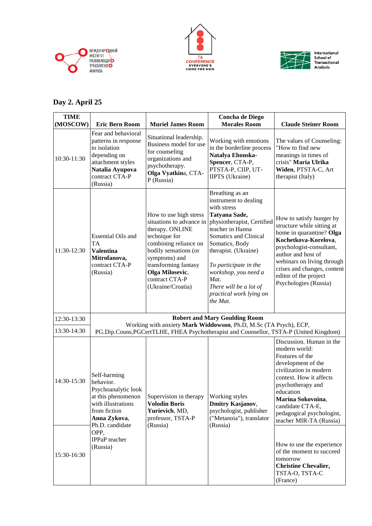





## **Day 2. April 25**

| <b>TIME</b><br>(MOSCOW) | <b>Eric Bern Room</b>                                                                                                                                                                | <b>Muriel James Room</b>                                                                                                                                                                                                                    | <b>Concha de Diego</b><br><b>Morales Room</b>                                                                                                                                                                                                                                                                           | <b>Claude Steiner Room</b>                                                                                                                                                                                                                                                  |
|-------------------------|--------------------------------------------------------------------------------------------------------------------------------------------------------------------------------------|---------------------------------------------------------------------------------------------------------------------------------------------------------------------------------------------------------------------------------------------|-------------------------------------------------------------------------------------------------------------------------------------------------------------------------------------------------------------------------------------------------------------------------------------------------------------------------|-----------------------------------------------------------------------------------------------------------------------------------------------------------------------------------------------------------------------------------------------------------------------------|
| 10:30-11:30             | Fear and behavioral<br>patterns in response<br>to isolation<br>depending on<br>attachment styles<br>Natalia Ayupova<br>contract CTA-P<br>(Russia)                                    | Situational leadership.<br>Business model for use<br>for counseling<br>organizations and<br>psychotherapy.<br>Olga Vyatkina, CTA-<br>P (Russia)                                                                                             | Working with emotions<br>in the borderline process<br>Natalya Ehonska-<br>Spencer, CTA-P,<br>PTSTA-P, CIIP, UT-<br><b>IIPTS</b> (Ukraine)                                                                                                                                                                               | The values of Counseling:<br>"How to find new<br>meanings in times of<br>crisis" Maria Ulrika<br>Widen, PTSTA-C, Art<br>therapist (Italy)                                                                                                                                   |
| 11:30-12:30             | <b>Essential Oils and</b><br><b>TA</b><br><b>Valentina</b><br>Mitrofanova,<br>contract CTA-P<br>(Russia)                                                                             | How to use high stress<br>situations to advance in<br>therapy. ONLINE<br>technique for<br>combining reliance on<br>bodily sensations (or<br>symptoms) and<br>transforming fantasy<br>Olga Milosevic,<br>contract CTA-P<br>(Ukraine/Croatia) | Breathing as an<br>instrument to dealing<br>with stress<br>Tatyana Sade,<br>physiotherapist, Certified<br>teacher in Hanna<br>Somatics and Clinical<br>Somatics, Body<br>therapist. (Ukraine)<br>To participate in the<br>workshop, you need a<br>Mat.<br>There will be a lot of<br>practical work lying on<br>the Mat. | How to satisfy hunger by<br>structure while sitting at<br>home in quarantine? Olga<br>Kochetkova-Korelova,<br>psychologist-consultant,<br>author and host of<br>webinars on living through<br>crises and changes, content<br>editor of the project<br>Psychologies (Russia) |
| 12:30-13:30             | <b>Robert and Mary Goulding Room</b><br>Working with anxiety Mark Widdowson, Ph.D, M.Sc (TA Psych), ECP,                                                                             |                                                                                                                                                                                                                                             |                                                                                                                                                                                                                                                                                                                         |                                                                                                                                                                                                                                                                             |
| 13:30-14:30             |                                                                                                                                                                                      |                                                                                                                                                                                                                                             |                                                                                                                                                                                                                                                                                                                         | PG.Dip.Couns, PGCertTLHE, FHEA Psychotherapist and Counsellor, TSTA-P (United Kingdom)                                                                                                                                                                                      |
| 14:30-15:30             | Self-harming<br>behavior.<br>Psychoanalytic look<br>at this phenomenon<br>with illustrations<br>from fiction<br>Anna Zykova,<br>Ph.D. candidate<br>OPP,<br>IPPaP teacher<br>(Russia) | Supervision in therapy<br><b>Volodin Boris</b><br>Yurievich, MD,<br>professor, TSTA-P<br>(Russia)                                                                                                                                           | Working styles<br>Dmitry Kasjanov,<br>psychologist, publisher<br>("Metanoia"), translator<br>(Russia)                                                                                                                                                                                                                   | Discussion. Human in the<br>modern world:<br>Features of the<br>development of the<br>civilization in modern<br>context. How it affects<br>psychotherapy and<br>education<br>Marina Sokovnina,<br>candidate CTA-E,<br>pedagogical psychologist,<br>teacher MIR-TA (Russia)  |
| 15:30-16:30             |                                                                                                                                                                                      |                                                                                                                                                                                                                                             |                                                                                                                                                                                                                                                                                                                         | How to use the experience<br>of the moment to succeed<br>tomorrow<br><b>Christine Chevalier,</b><br>TSTA-O, TSTA-C<br>(France)                                                                                                                                              |